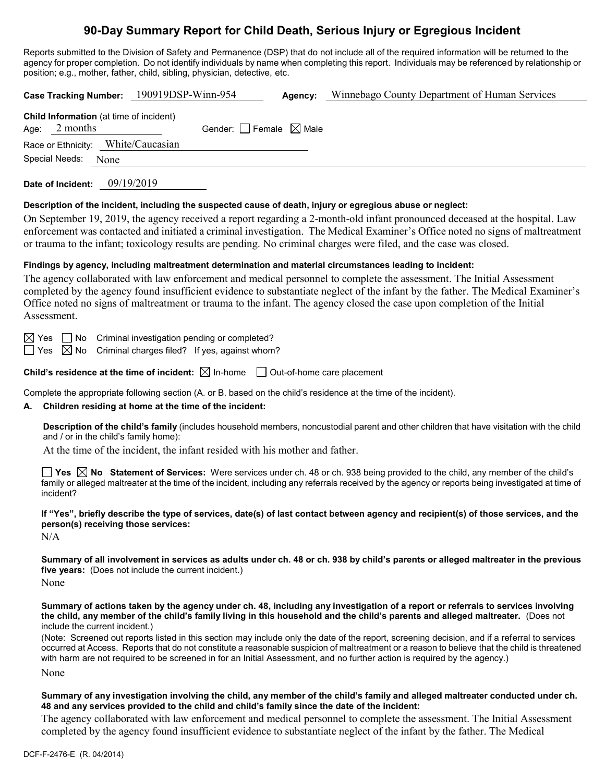# **90-Day Summary Report for Child Death, Serious Injury or Egregious Incident**

Reports submitted to the Division of Safety and Permanence (DSP) that do not include all of the required information will be returned to the agency for proper completion. Do not identify individuals by name when completing this report. Individuals may be referenced by relationship or position; e.g., mother, father, child, sibling, physician, detective, etc.

| Case Tracking Number: 190919DSP-Winn-954<br>Agency: Winnebago County Department of Human Services                                                                                                                                                                                                                                                                                                                                                                                                               |
|-----------------------------------------------------------------------------------------------------------------------------------------------------------------------------------------------------------------------------------------------------------------------------------------------------------------------------------------------------------------------------------------------------------------------------------------------------------------------------------------------------------------|
| Child Information (at time of incident)<br>Age: 2 months<br>Gender: $\Box$ Female $\boxtimes$ Male<br>Race or Ethnicity: White/Caucasian<br>Special Needs: None                                                                                                                                                                                                                                                                                                                                                 |
| 09/19/2019<br>Date of Incident:                                                                                                                                                                                                                                                                                                                                                                                                                                                                                 |
| Description of the incident, including the suspected cause of death, injury or egregious abuse or neglect:<br>On September 19, 2019, the agency received a report regarding a 2-month-old infant pronounced deceased at the hospital. Law<br>enforcement was contacted and initiated a criminal investigation. The Medical Examiner's Office noted no signs of maltreatment<br>or trauma to the infant; toxicology results are pending. No criminal charges were filed, and the case was closed.                |
| Findings by agency, including maltreatment determination and material circumstances leading to incident:<br>The agency collaborated with law enforcement and medical personnel to complete the assessment. The Initial Assessment<br>completed by the agency found insufficient evidence to substantiate neglect of the infant by the father. The Medical Examiner's<br>Office noted no signs of maltreatment or trauma to the infant. The agency closed the case upon completion of the Initial<br>Assessment. |
| Criminal investigation pending or completed?<br>$\boxtimes$ Yes $\quad \Box$ No<br>Criminal charges filed? If yes, against whom?<br>$\boxtimes$ No<br>∣ Yes                                                                                                                                                                                                                                                                                                                                                     |
| <b>Child's residence at the time of incident:</b> $\boxtimes$ In-home $\Box$ Out-of-home care placement                                                                                                                                                                                                                                                                                                                                                                                                         |
| Complete the appropriate following section (A. or B. based on the child's residence at the time of the incident).<br>Children residing at home at the time of the incident:<br>А.                                                                                                                                                                                                                                                                                                                               |
| Description of the child's family (includes household members, noncustodial parent and other children that have visitation with the child<br>and / or in the child's family home):                                                                                                                                                                                                                                                                                                                              |
| At the time of the incident, the infant resided with his mother and father.                                                                                                                                                                                                                                                                                                                                                                                                                                     |
| <b>Yes</b> $\boxtimes$ <b>No</b> Statement of Services: Were services under ch. 48 or ch. 938 being provided to the child, any member of the child's<br>family or alleged maltreater at the time of the incident, including any referrals received by the agency or reports being investigated at time of<br>incident?                                                                                                                                                                                          |
| If "Yes", briefly describe the type of services, date(s) of last contact between agency and recipient(s) of those services, and the<br>person(s) receiving those services:<br>N/A                                                                                                                                                                                                                                                                                                                               |
| Summary of all involvement in services as adults under ch. 48 or ch. 938 by child's parents or alleged maltreater in the previous<br>five years: (Does not include the current incident.)<br>None                                                                                                                                                                                                                                                                                                               |
| Summary of actions taken by the agency under ch. 48, including any investigation of a report or referrals to services involving<br>the child, any member of the child's family living in this household and the child's parents and alleged maltreater. (Does not<br>include the current incident.)<br>(Note: Screened out reports listed in this section may include only the date of the report, screening decision, and if a referral to services                                                            |
| occurred at Access. Reports that do not constitute a reasonable suspicion of maltreatment or a reason to believe that the child is threatened<br>with harm are not required to be screened in for an Initial Assessment, and no further action is required by the agency.)                                                                                                                                                                                                                                      |
| None                                                                                                                                                                                                                                                                                                                                                                                                                                                                                                            |
| Summary of any invostigation involving the child, any member of the child's family and alleged maltreater conducted under ch                                                                                                                                                                                                                                                                                                                                                                                    |

### **Summary of any investigation involving the child, any member of the child's family and alleged maltreater conducted under ch. 48 and any services provided to the child and child's family since the date of the incident:**

The agency collaborated with law enforcement and medical personnel to complete the assessment. The Initial Assessment completed by the agency found insufficient evidence to substantiate neglect of the infant by the father. The Medical